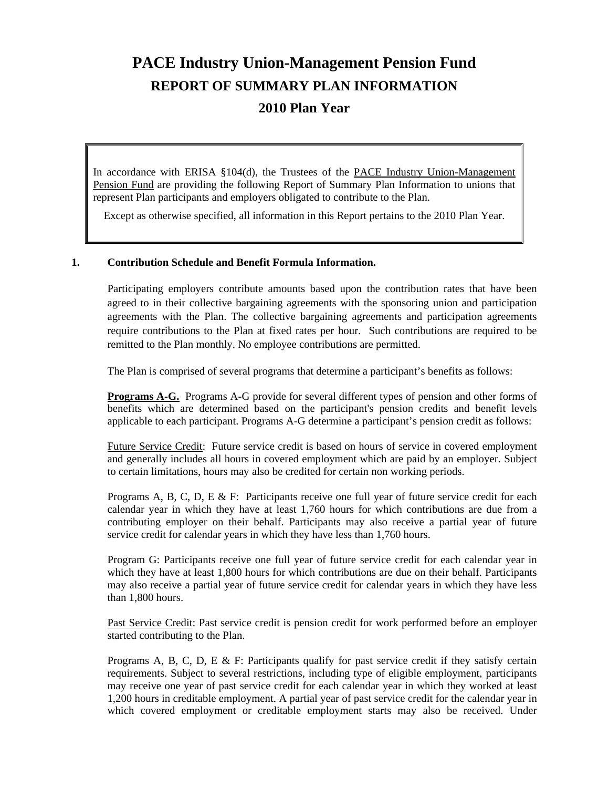# **PACE Industry Union-Management Pension Fund REPORT OF SUMMARY PLAN INFORMATION 2010 Plan Year**

In accordance with ERISA §104(d), the Trustees of the PACE Industry Union-Management Pension Fund are providing the following Report of Summary Plan Information to unions that represent Plan participants and employers obligated to contribute to the Plan.

Except as otherwise specified, all information in this Report pertains to the 2010 Plan Year.

#### **1. Contribution Schedule and Benefit Formula Information.**

 Participating employers contribute amounts based upon the contribution rates that have been agreed to in their collective bargaining agreements with the sponsoring union and participation agreements with the Plan. The collective bargaining agreements and participation agreements require contributions to the Plan at fixed rates per hour. Such contributions are required to be remitted to the Plan monthly. No employee contributions are permitted.

The Plan is comprised of several programs that determine a participant's benefits as follows:

**Programs A-G.** Programs A-G provide for several different types of pension and other forms of benefits which are determined based on the participant's pension credits and benefit levels applicable to each participant. Programs A-G determine a participant's pension credit as follows:

Future Service Credit: Future service credit is based on hours of service in covered employment and generally includes all hours in covered employment which are paid by an employer. Subject to certain limitations, hours may also be credited for certain non working periods.

Programs A, B, C, D, E & F: Participants receive one full year of future service credit for each calendar year in which they have at least 1,760 hours for which contributions are due from a contributing employer on their behalf. Participants may also receive a partial year of future service credit for calendar years in which they have less than 1,760 hours.

Program G: Participants receive one full year of future service credit for each calendar year in which they have at least 1,800 hours for which contributions are due on their behalf. Participants may also receive a partial year of future service credit for calendar years in which they have less than 1,800 hours.

Past Service Credit: Past service credit is pension credit for work performed before an employer started contributing to the Plan.

Programs A, B, C, D, E & F: Participants qualify for past service credit if they satisfy certain requirements. Subject to several restrictions, including type of eligible employment, participants may receive one year of past service credit for each calendar year in which they worked at least 1,200 hours in creditable employment. A partial year of past service credit for the calendar year in which covered employment or creditable employment starts may also be received. Under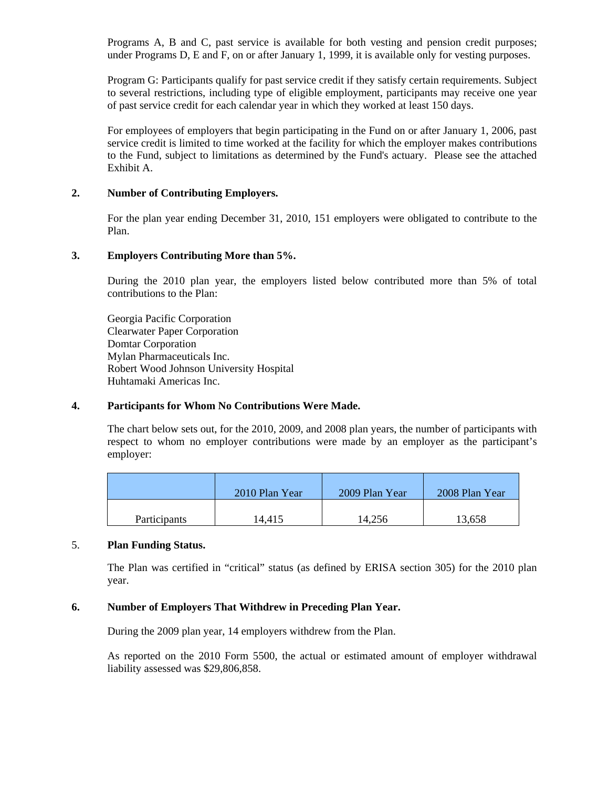Programs A, B and C, past service is available for both vesting and pension credit purposes; under Programs D, E and F, on or after January 1, 1999, it is available only for vesting purposes.

Program G: Participants qualify for past service credit if they satisfy certain requirements. Subject to several restrictions, including type of eligible employment, participants may receive one year of past service credit for each calendar year in which they worked at least 150 days.

For employees of employers that begin participating in the Fund on or after January 1, 2006, past service credit is limited to time worked at the facility for which the employer makes contributions to the Fund, subject to limitations as determined by the Fund's actuary. Please see the attached Exhibit A.

#### **2. Number of Contributing Employers.**

 For the plan year ending December 31, 2010, 151 employers were obligated to contribute to the Plan.

#### **3. Employers Contributing More than 5%.**

 During the 2010 plan year, the employers listed below contributed more than 5% of total contributions to the Plan:

 Georgia Pacific Corporation Clearwater Paper Corporation Domtar Corporation Mylan Pharmaceuticals Inc. Robert Wood Johnson University Hospital Huhtamaki Americas Inc.

#### **4. Participants for Whom No Contributions Were Made.**

The chart below sets out, for the 2010, 2009, and 2008 plan years, the number of participants with respect to whom no employer contributions were made by an employer as the participant's employer:

|                     | 2010 Plan Year | 2009 Plan Year | 2008 Plan Year |
|---------------------|----------------|----------------|----------------|
| <b>Participants</b> | 14.415         | 14.256         | 13,658         |

## 5. **Plan Funding Status.**

 The Plan was certified in "critical" status (as defined by ERISA section 305) for the 2010 plan year.

## **6. Number of Employers That Withdrew in Preceding Plan Year.**

During the 2009 plan year, 14 employers withdrew from the Plan.

 As reported on the 2010 Form 5500, the actual or estimated amount of employer withdrawal liability assessed was \$29,806,858.